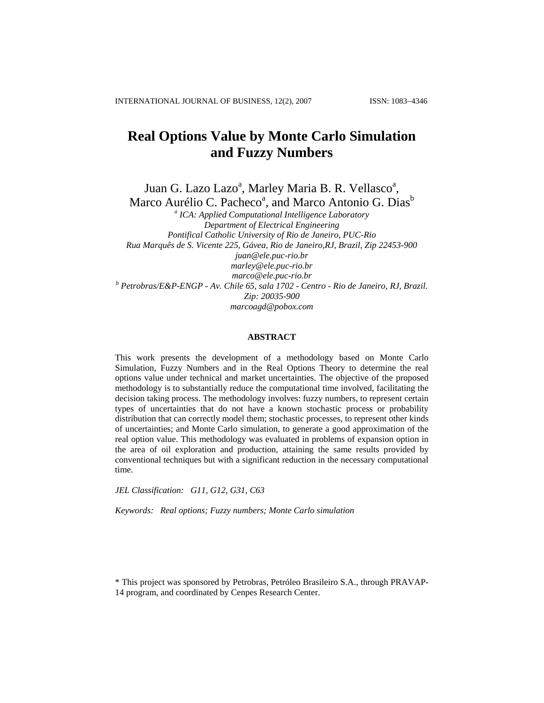# **Real Options Value by Monte Carlo Simulation and Fuzzy Numbers**

Juan G. Lazo Lazo<sup>a</sup>, Marley Maria B. R. Vellasco<sup>a</sup>, Marco Aurélio C. Pacheco<sup>a</sup>, and Marco Antonio G. Dias<sup>b</sup>

*a ICA: Applied Computational Intelligence Laboratory Department of Electrical Engineering Pontifical Catholic University of Rio de Janeiro, PUC-Rio Rua Marquês de S. Vicente 225, Gávea, Rio de Janeiro,RJ, Brazil, Zip 22453-900 juan@ele.puc-rio.br marley@ele.puc-rio.br marco@ele.puc-rio.br*<br><sup>*b*</sup> Petrobras/E&P-ENGP - Av. Chile 65, sala 1702 - Centro - Rio de Janeiro, RJ, Brazil. *Zip: 20035-900 marcoagd@pobox.com* 

#### **ABSTRACT**

This work presents the development of a methodology based on Monte Carlo Simulation, Fuzzy Numbers and in the Real Options Theory to determine the real options value under technical and market uncertainties. The objective of the proposed methodology is to substantially reduce the computational time involved, facilitating the decision taking process. The methodology involves: fuzzy numbers, to represent certain types of uncertainties that do not have a known stochastic process or probability distribution that can correctly model them; stochastic processes, to represent other kinds of uncertainties; and Monte Carlo simulation, to generate a good approximation of the real option value. This methodology was evaluated in problems of expansion option in the area of oil exploration and production, attaining the same results provided by conventional techniques but with a significant reduction in the necessary computational time.

*JEL Classification: G11, G12, G31, C63* 

*Keywords: Real options; Fuzzy numbers; Monte Carlo simulation* 

\* This project was sponsored by Petrobras, Petróleo Brasileiro S.A., through PRAVAP-14 program, and coordinated by Cenpes Research Center.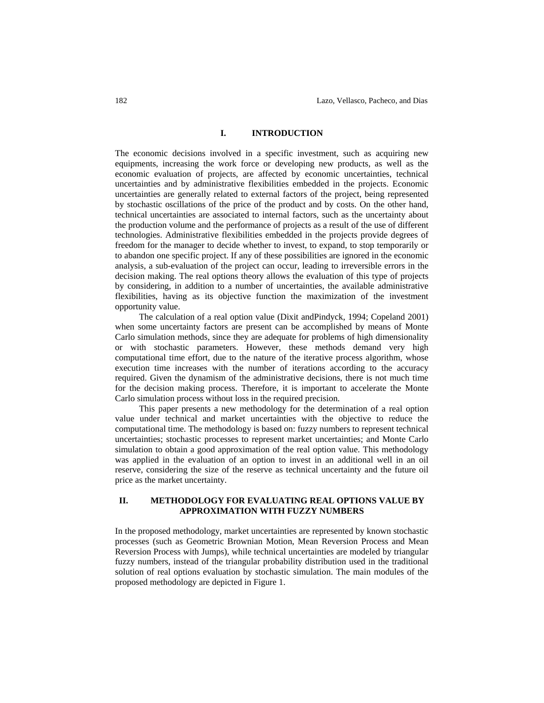#### **I. INTRODUCTION**

The economic decisions involved in a specific investment, such as acquiring new equipments, increasing the work force or developing new products, as well as the economic evaluation of projects, are affected by economic uncertainties, technical uncertainties and by administrative flexibilities embedded in the projects. Economic uncertainties are generally related to external factors of the project, being represented by stochastic oscillations of the price of the product and by costs. On the other hand, technical uncertainties are associated to internal factors, such as the uncertainty about the production volume and the performance of projects as a result of the use of different technologies. Administrative flexibilities embedded in the projects provide degrees of freedom for the manager to decide whether to invest, to expand, to stop temporarily or to abandon one specific project. If any of these possibilities are ignored in the economic analysis, a sub-evaluation of the project can occur, leading to irreversible errors in the decision making. The real options theory allows the evaluation of this type of projects by considering, in addition to a number of uncertainties, the available administrative flexibilities, having as its objective function the maximization of the investment opportunity value.

The calculation of a real option value (Dixit andPindyck, 1994; Copeland 2001) when some uncertainty factors are present can be accomplished by means of Monte Carlo simulation methods, since they are adequate for problems of high dimensionality or with stochastic parameters. However, these methods demand very high computational time effort, due to the nature of the iterative process algorithm, whose execution time increases with the number of iterations according to the accuracy required. Given the dynamism of the administrative decisions, there is not much time for the decision making process. Therefore, it is important to accelerate the Monte Carlo simulation process without loss in the required precision.

This paper presents a new methodology for the determination of a real option value under technical and market uncertainties with the objective to reduce the computational time. The methodology is based on: fuzzy numbers to represent technical uncertainties; stochastic processes to represent market uncertainties; and Monte Carlo simulation to obtain a good approximation of the real option value. This methodology was applied in the evaluation of an option to invest in an additional well in an oil reserve, considering the size of the reserve as technical uncertainty and the future oil price as the market uncertainty.

## **II. METHODOLOGY FOR EVALUATING REAL OPTIONS VALUE BY APPROXIMATION WITH FUZZY NUMBERS**

In the proposed methodology, market uncertainties are represented by known stochastic processes (such as Geometric Brownian Motion, Mean Reversion Process and Mean Reversion Process with Jumps), while technical uncertainties are modeled by triangular fuzzy numbers, instead of the triangular probability distribution used in the traditional solution of real options evaluation by stochastic simulation. The main modules of the proposed methodology are depicted in Figure 1.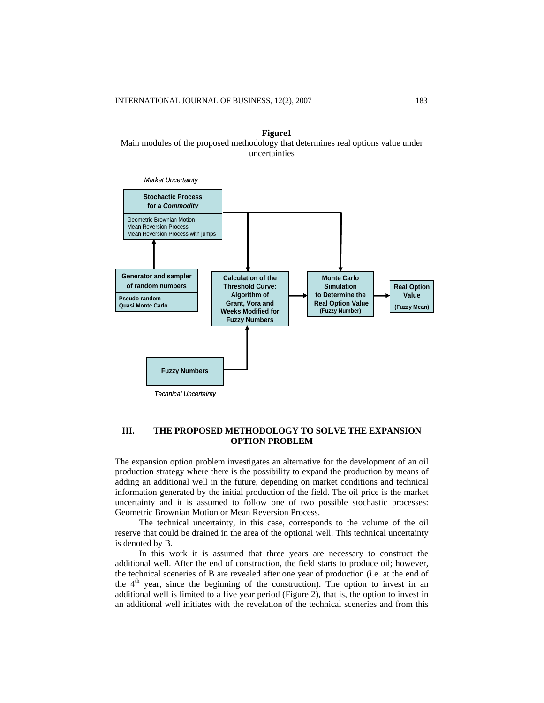**Figure1**  Main modules of the proposed methodology that determines real options value under uncertainties



#### **III. THE PROPOSED METHODOLOGY TO SOLVE THE EXPANSION OPTION PROBLEM**

The expansion option problem investigates an alternative for the development of an oil production strategy where there is the possibility to expand the production by means of adding an additional well in the future, depending on market conditions and technical information generated by the initial production of the field. The oil price is the market uncertainty and it is assumed to follow one of two possible stochastic processes: Geometric Brownian Motion or Mean Reversion Process.

The technical uncertainty, in this case, corresponds to the volume of the oil reserve that could be drained in the area of the optional well. This technical uncertainty is denoted by B.

In this work it is assumed that three years are necessary to construct the additional well. After the end of construction, the field starts to produce oil; however, the technical sceneries of B are revealed after one year of production (i.e. at the end of the  $4<sup>th</sup>$  year, since the beginning of the construction). The option to invest in an additional well is limited to a five year period [\(Figure 2](#page-3-0)), that is, the option to invest in an additional well initiates with the revelation of the technical sceneries and from this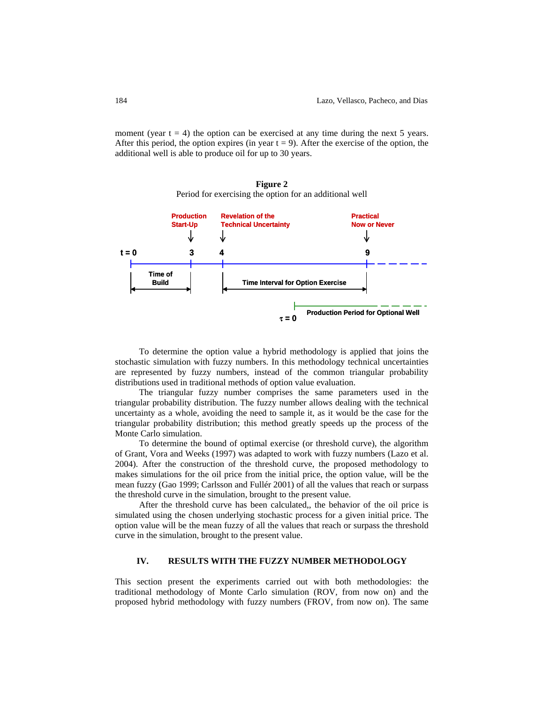moment (year  $t = 4$ ) the option can be exercised at any time during the next 5 years. After this period, the option expires (in year  $t = 9$ ). After the exercise of the option, the additional well is able to produce oil for up to 30 years.



<span id="page-3-0"></span>

To determine the option value a hybrid methodology is applied that joins the stochastic simulation with fuzzy numbers. In this methodology technical uncertainties are represented by fuzzy numbers, instead of the common triangular probability distributions used in traditional methods of option value evaluation.

The triangular fuzzy number comprises the same parameters used in the triangular probability distribution. The fuzzy number allows dealing with the technical uncertainty as a whole, avoiding the need to sample it, as it would be the case for the triangular probability distribution; this method greatly speeds up the process of the Monte Carlo simulation.

To determine the bound of optimal exercise (or threshold curve), the algorithm of Grant, Vora and Weeks (1997) was adapted to work with fuzzy numbers (Lazo et al. 2004). After the construction of the threshold curve, the proposed methodology to makes simulations for the oil price from the initial price, the option value, will be the mean fuzzy (Gao 1999; Carlsson and Fullér 2001) of all the values that reach or surpass the threshold curve in the simulation, brought to the present value.

After the threshold curve has been calculated,, the behavior of the oil price is simulated using the chosen underlying stochastic process for a given initial price. The option value will be the mean fuzzy of all the values that reach or surpass the threshold curve in the simulation, brought to the present value.

# **IV. RESULTS WITH THE FUZZY NUMBER METHODOLOGY**

This section present the experiments carried out with both methodologies: the traditional methodology of Monte Carlo simulation (ROV, from now on) and the proposed hybrid methodology with fuzzy numbers (FROV, from now on). The same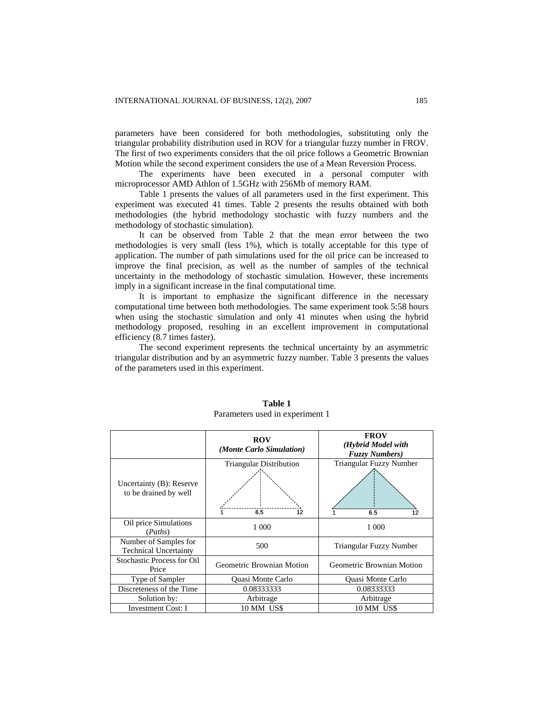parameters have been considered for both methodologies, substituting only the triangular probability distribution used in ROV for a triangular fuzzy number in FROV. The first of two experiments considers that the oil price follows a Geometric Brownian Motion while the second experiment considers the use of a Mean Reversion Process.

The experiments have been executed in a personal computer with microprocessor AMD Athlon of 1.5GHz with 256Mb of memory RAM.

Table 1 presents the values of all parameters used in the first experiment. This experiment was executed 41 times. Table 2 presents the results obtained with both methodologies (the hybrid methodology stochastic with fuzzy numbers and the methodology of stochastic simulation).

It can be observed from Table 2 that the mean error between the two methodologies is very small (less 1%), which is totally acceptable for this type of application. The number of path simulations used for the oil price can be increased to improve the final precision, as well as the number of samples of the technical uncertainty in the methodology of stochastic simulation. However, these increments imply in a significant increase in the final computational time.

It is important to emphasize the significant difference in the necessary computational time between both methodologies. The same experiment took 5:58 hours when using the stochastic simulation and only 41 minutes when using the hybrid methodology proposed, resulting in an excellent improvement in computational efficiency (8.7 times faster).

The second experiment represents the technical uncertainty by an asymmetric triangular distribution and by an asymmetric fuzzy number. Table 3 presents the values of the parameters used in this experiment.

|                                                       | <b>ROV</b><br>(Monte Carlo Simulation)      | <b>FROV</b><br>(Hybrid Model with<br><b>Fuzzy Numbers</b> ) |  |  |
|-------------------------------------------------------|---------------------------------------------|-------------------------------------------------------------|--|--|
| Uncertainty (B): Reserve<br>to be drained by well     | <b>Triangular Distribution</b><br>6.5<br>12 | Triangular Fuzzy Number<br>6.5<br>12                        |  |  |
| Oil price Simulations<br>(Paths)                      | 1 000                                       | 1 000                                                       |  |  |
| Number of Samples for<br><b>Technical Uncertainty</b> | 500                                         | Triangular Fuzzy Number                                     |  |  |
| <b>Stochastic Process for Oil</b><br>Price            | Geometric Brownian Motion                   | Geometric Brownian Motion                                   |  |  |
| Type of Sampler                                       | Quasi Monte Carlo                           | Quasi Monte Carlo                                           |  |  |
| Discreteness of the Time                              | 0.08333333                                  | 0.08333333                                                  |  |  |
| Solution by:                                          | Arbitrage                                   | Arbitrage                                                   |  |  |
| <b>Investment Cost: I</b>                             | 10 MM US\$                                  | 10 MM US\$                                                  |  |  |

**Table 1** Parameters used in experiment 1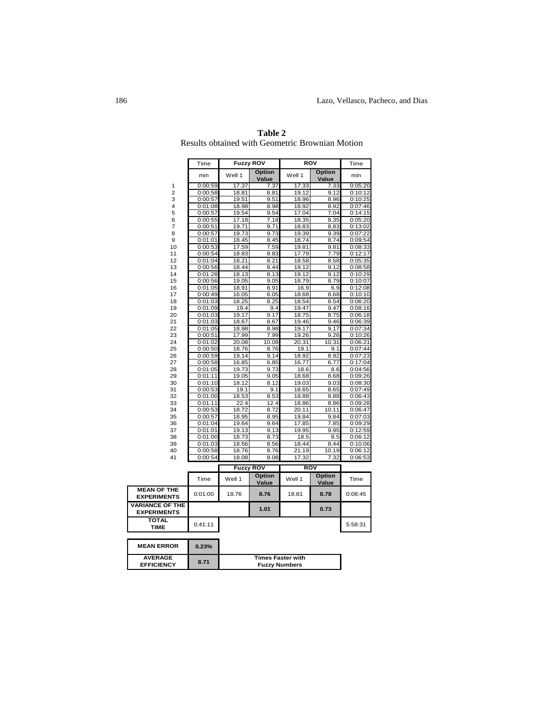|                                              | Time               | <b>Fuzzy ROV</b> |                        | <b>ROV</b>     |                 | Time               |
|----------------------------------------------|--------------------|------------------|------------------------|----------------|-----------------|--------------------|
|                                              | min                | Well 1           | <b>Option</b><br>Value | Well 1         | Option<br>Value | min                |
| 1                                            | 0:00:59            | 17.37            | 7.37                   | 17.33          | 7.33            | 0:05:20            |
| 2                                            | 0:00:58            | 18.81            | 8.81                   | 19.12          | 9.12            | 0:10:12            |
| 3                                            | 0:00:57            | 19.51            | 9.51                   | 18.96          | 8.96            | 0:10:25            |
| 4                                            | 0:01:08            | 18.98            | 8.98                   | 18.92          | 8.92            | 0:07:46            |
| 5                                            | 0:00:57            | 19.54            | 9.54                   | 17.04          | 7.04            | 0:14:15            |
| 6                                            | 0:00:55            | 17.18            | 7.18                   | 18.35          | 8.35            | 0:05:20            |
| 7<br>8                                       | 0:00:51            | 19.71            | 9.71                   | 18.83          | 8.83            | 0:13:02            |
| 9                                            | 0:00:57<br>0:01:01 | 19.73<br>18.45   | 9.73                   | 19.39<br>18.74 | 9.39            | 0:07:22            |
| 10                                           |                    | 17.59            | 8.45<br>7.59           |                | 8.74<br>9.81    | 0:09:54            |
| 11                                           | 0:00:53            | 18.83            | 8.83                   | 19.81<br>17.79 | 7.79            | 0:08:33<br>0:12:17 |
| 12                                           | 0:00:54<br>0:01:04 | 18.21            | 8.21                   | 18.58          | 8.58            | 0:05:35            |
| 13                                           | 0:00:56            | 18.44            | 8.44                   | 19.12          | 9.12            | 0:08:58            |
| 14                                           | 0:01:28            | 18.13            | 8.13                   | 19.12          | 9.12            | 0:10:29            |
| 15                                           | 0:00:56            | 19.05            | 9.05                   | 18.79          | 8.79            | 0:10:07            |
| 16                                           | 0:01:05            | 18.91            | 8.91                   | 16.9           | 6.9             | 0:12:08            |
| 17                                           | 0:00:49            | 16.05            | 6.05                   | 18.68          | 8.68            | 0:10:10            |
| 18                                           | 0:01:03            | 18.25            | 8.25                   | 18.54          | 8.54            | 0:06:20            |
| 19                                           | 0:01:09            | 19.4             | 9.4                    | 19.47          | 9.47            | 0:08:16            |
| 20                                           | 0:01:03            | 19.17            | 9.17                   | 18.75          | 8.75            | 0:06:18            |
| 21                                           | 0:01:03            | 18.67            | 8.67                   | 19.46          | 9.46            | 0:06:39            |
| 22                                           | 0:01:05            | 18.98            | 8.98                   | 19.17          | 9.17            | 0:07:34            |
| 23                                           | 0:00:51            | 17.99            | 7.99                   | 19.26          | 9.26            | 0:10:26            |
| 24                                           | 0:01:02            | 20.08            | 10.08                  | 20.31          | 10.31           | 0:06:21            |
| 25                                           | 0:00:50            | 18.76            | 8.76                   | 19.1           | 9.1             | 0:07:44            |
| 26                                           | 0:00:59            | 19.14            | 9.14                   | 18.92          | 8.92            | 0:07:23            |
| 27                                           | 0:00:58            | 16.85            | 6.85                   | 16.77          | 6.77            | 0:17:04            |
| 28                                           | 0:01:05            | 19.73            | 9.73                   | 18.6           | 8.6             | 0:04:56            |
| 29                                           | 0:01:11            | 19.05            | 9.05                   | 18.68          | 8.68            | 0:09:26            |
| 30                                           | 0:01:10            | 18.12            | 8.12                   | 19.03          | 9.03            | 0:08:30            |
| 31                                           | 0:00:53            | 19.1             | 9.1                    | 18.65          | 8.65            | 0:07:49            |
| 32                                           | 0:01:00            | 18.53            | 8.53                   | 18.88          | 8.88            | 0:06:43            |
| 33                                           | 0:01:11            | 22.4             | 12.4                   | 18.86          | 8.86            | 0:09:28            |
| 34                                           | 0:00:53            | 18.72            | 8.72                   | 20.11          | 10.11           | 0:06:47            |
| 35                                           | 0:00:57            | 18.95            | 8.95                   | 19.84          | 9.84            | 0:07:03            |
| 36                                           | 0:01:04            | 19.64            | 9.64                   | 17.85          | 7.85            | 0:09:29            |
| 37                                           | 0:01:01            | 19.13            | 9.13                   | 19.95          | 9.95            | 0:12:59            |
| 38                                           | 0:01:00            | 18.73            | 8.73                   | 18.5           | 8.5             | 0:06:12            |
| 39                                           | 0:01:03            | 18.56            | 8.56                   | 18.44          | 8.44            | 0:10:06            |
| 40                                           | 0:00:58            | 18.76            | 8.76                   | 21.19          | 10.19           | 0:06:12            |
| 41                                           | 0:00:54            | 18.08            | 8.08                   | 17.32          | 7.32            | 0:06:53            |
|                                              |                    | <b>Fuzzy ROV</b> |                        | <b>ROV</b>     |                 |                    |
|                                              | Time               | Well 1           | Option<br>Value        | Well 1         | Option<br>Value | Time               |
| <b>MEAN OF THE</b><br><b>EXPERIMENTS</b>     | 0:01:00            | 18.76            | 8.76                   | 18.81          | 8.78            | 0:08:45            |
| <b>VARIANCE OF THE</b><br><b>EXPERIMENTS</b> |                    |                  | 1.01                   |                | 0.73            |                    |
| <b>TOTAL</b><br><b>TIME</b>                  | 0:41:11            |                  |                        |                |                 | 5:58:31            |
| <b>MEAN ERROR</b>                            | 0.23%              |                  |                        |                |                 |                    |

**Table 2**  Results obtained with Geometric Brownian Motion

| <b>MEAN ERROR</b>                   | 0.23% |                                                  |
|-------------------------------------|-------|--------------------------------------------------|
| <b>AVERAGE</b><br><b>EFFICIENCY</b> | 8.71  | <b>Times Faster with</b><br><b>Fuzzy Numbers</b> |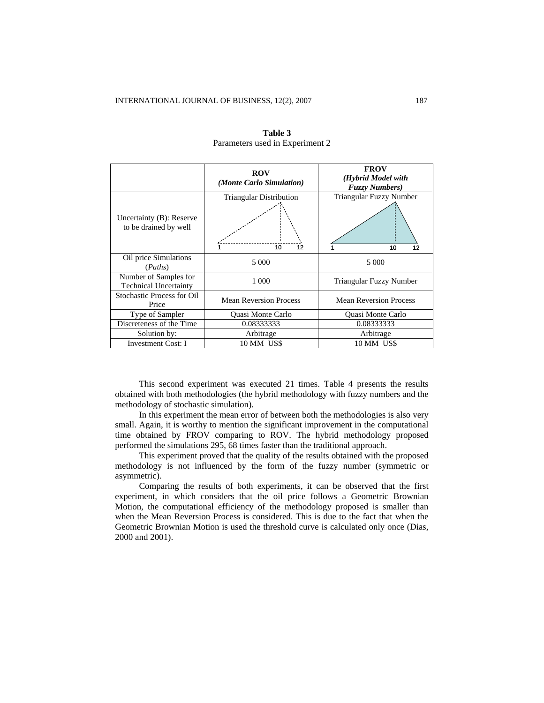|                                                       | <b>ROV</b><br>(Monte Carlo Simulation)     | <b>FROV</b><br>(Hybrid Model with<br><b>Fuzzy Numbers</b> ) |  |  |
|-------------------------------------------------------|--------------------------------------------|-------------------------------------------------------------|--|--|
| Uncertainty (B): Reserve<br>to be drained by well     | <b>Triangular Distribution</b><br>10<br>12 | Triangular Fuzzy Number<br>12<br>10                         |  |  |
| Oil price Simulations<br>(Paths)                      | 5 0 0 0                                    | 5 000                                                       |  |  |
| Number of Samples for<br><b>Technical Uncertainty</b> | 1 000                                      | Triangular Fuzzy Number                                     |  |  |
| <b>Stochastic Process for Oil</b><br>Price            | <b>Mean Reversion Process</b>              | <b>Mean Reversion Process</b>                               |  |  |
| Type of Sampler                                       | Quasi Monte Carlo                          | Quasi Monte Carlo                                           |  |  |
| Discreteness of the Time                              | 0.08333333                                 | 0.08333333                                                  |  |  |
| Solution by:                                          | Arbitrage                                  | Arbitrage                                                   |  |  |
| <b>Investment Cost: I</b>                             | 10 MM US\$                                 | 10 MM US\$                                                  |  |  |

## **Table 3**  Parameters used in Experiment 2

This second experiment was executed 21 times. Table 4 presents the results obtained with both methodologies (the hybrid methodology with fuzzy numbers and the methodology of stochastic simulation).

In this experiment the mean error of between both the methodologies is also very small. Again, it is worthy to mention the significant improvement in the computational time obtained by FROV comparing to ROV. The hybrid methodology proposed performed the simulations 295, 68 times faster than the traditional approach.

This experiment proved that the quality of the results obtained with the proposed methodology is not influenced by the form of the fuzzy number (symmetric or asymmetric).

Comparing the results of both experiments, it can be observed that the first experiment, in which considers that the oil price follows a Geometric Brownian Motion, the computational efficiency of the methodology proposed is smaller than when the Mean Reversion Process is considered. This is due to the fact that when the Geometric Brownian Motion is used the threshold curve is calculated only once (Dias, 2000 and 2001).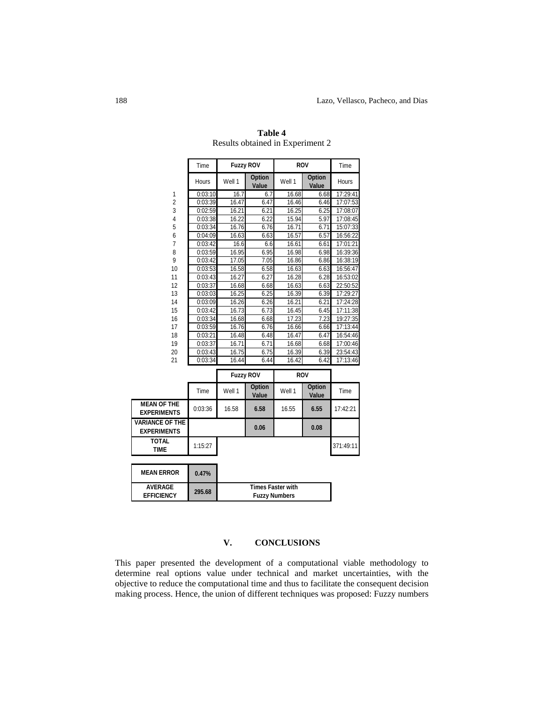|                                              | Time         | <b>Fuzzy ROV</b> |                                           | <b>ROV</b> |                        | Time      |
|----------------------------------------------|--------------|------------------|-------------------------------------------|------------|------------------------|-----------|
|                                              | <b>Hours</b> | Well 1           | <b>Option</b><br>Value                    | Well 1     | <b>Option</b><br>Value | Hours     |
| 1                                            | 0:03:10      | 16.7             | 6.7                                       | 16.68      | 6.68                   | 17:29:41  |
| $\overline{2}$                               | 0:03:39      | 16.47            | 6.47                                      | 16.46      | 6.46                   | 17:07:53  |
| 3                                            | 0:02:59      | 16.21            | 6.21                                      | 16.25      | 6.25                   | 17:08:07  |
| 4                                            | 0:03:38      | 16.22            | 6.22                                      | 15.94      | 5.97                   | 17:08:45  |
| 5                                            | 0:03:34      | 16.76            | 6.76                                      | 16.71      | 6.71                   | 15:07:33  |
| 6                                            | 0:04:09      | 16.63            | 6.63                                      | 16.57      | 6.57                   | 16:56:22  |
| $\overline{7}$                               | 0:03:42      | 16.6             | 6.6                                       | 16.61      | 6.61                   | 17:01:21  |
| 8                                            | 0:03:59      | 16.95            | 6.95                                      | 16.98      | 6.98                   | 16:39:36  |
| 9                                            | 0:03:42      | 17.05            | 7.05                                      | 16.86      | 6.86                   | 16:38:19  |
| 10                                           | 0:03:53      | 16.58            | 6.58                                      | 16.63      | 6.63                   | 16:56:47  |
| 11                                           | 0:03:43      | 16.27            | 6.27                                      | 16.28      | 6.28                   | 16:53:02  |
| 12                                           | 0:03:37      | 16.68            | 6.68                                      | 16.63      | 6.63                   | 22:50:52  |
| 13                                           | 0:03:03      | 16.25            | 6.25                                      | 16.39      | 6.39                   | 17:29:27  |
| 14                                           | 0:03:09      | 16.26            | 6.26                                      | 16.21      | 6.21                   | 17:24:28  |
| 15                                           | 0:03:42      | 16.73            | 6.73                                      | 16.45      | 6.45                   | 17:11:38  |
| 16                                           | 0:03:34      | 16.68            | 6.68                                      | 17.23      | 7.23                   | 19:27:35  |
| 17                                           | 0:03:59      | 16.76            | 6.76                                      | 16.66      | 6.66                   | 17:13:44  |
| 18                                           | 0:03:21      | 16.48            | 6.48                                      | 16.47      | 6.47                   | 16:54:46  |
| 19                                           | 0:03:37      | 16.71            | 6.71                                      | 16.68      | 6.68                   | 17:00:46  |
| 20                                           | 0:03:43      | 16.75            | 6.75                                      | 16.39      | 6.39                   | 23:54:43  |
| 21                                           | 0:03:34      | 16.44            | 6.44                                      | 16.42      | 6.42                   | 17:13:46  |
|                                              |              | <b>Fuzzy ROV</b> |                                           | <b>ROV</b> |                        |           |
|                                              |              |                  |                                           |            |                        |           |
|                                              | Time         | Well 1           | <b>Option</b><br>Value                    | Well 1     | <b>Option</b><br>Value | Time      |
| <b>MEAN OF THE</b><br><b>EXPERIMENTS</b>     | 0:03:36      | 16.58            | 6.58                                      | 16.55      | 6.55                   | 17:42:21  |
| <b>VARIANCE OF THE</b><br><b>EXPERIMENTS</b> |              |                  | 0.06                                      |            | 0.08                   |           |
| <b>TOTAL</b><br><b>TIME</b>                  | 1:15:27      |                  |                                           |            |                        | 371:49:11 |
|                                              |              |                  |                                           |            |                        |           |
| <b>MEAN ERROR</b>                            | 0.47%        |                  |                                           |            |                        |           |
| <b>AVERAGE</b><br><b>EFFICIENCY</b>          | 295.68       |                  | Times Faster with<br><b>Fuzzy Numbers</b> |            |                        |           |

**Table 4**  Results obtained in Experiment 2

# **V. CONCLUSIONS**

This paper presented the development of a computational viable methodology to determine real options value under technical and market uncertainties, with the objective to reduce the computational time and thus to facilitate the consequent decision making process. Hence, the union of different techniques was proposed: Fuzzy numbers